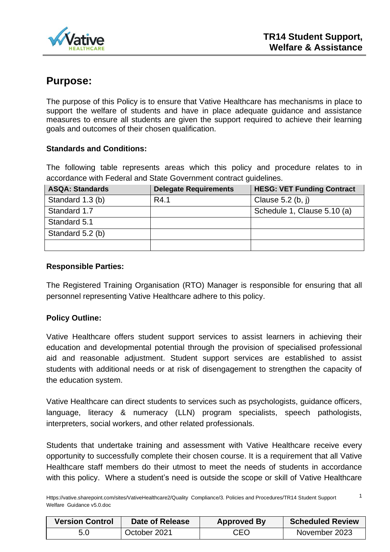

1

# **Purpose:**

The purpose of this Policy is to ensure that Vative Healthcare has mechanisms in place to support the welfare of students and have in place adequate guidance and assistance measures to ensure all students are given the support required to achieve their learning goals and outcomes of their chosen qualification.

# **Standards and Conditions:**

The following table represents areas which this policy and procedure relates to in accordance with Federal and State Government contract guidelines.

| <b>ASQA: Standards</b> | <b>Delegate Requirements</b> | <b>HESG: VET Funding Contract</b> |
|------------------------|------------------------------|-----------------------------------|
| Standard 1.3 (b)       | R4.1                         | Clause $5.2$ (b, j)               |
| Standard 1.7           |                              | Schedule 1, Clause 5.10 (a)       |
| Standard 5.1           |                              |                                   |
| Standard 5.2 (b)       |                              |                                   |
|                        |                              |                                   |

## **Responsible Parties:**

The Registered Training Organisation (RTO) Manager is responsible for ensuring that all personnel representing Vative Healthcare adhere to this policy.

# **Policy Outline:**

Vative Healthcare offers student support services to assist learners in achieving their education and developmental potential through the provision of specialised professional aid and reasonable adjustment. Student support services are established to assist students with additional needs or at risk of disengagement to strengthen the capacity of the education system.

Vative Healthcare can direct students to services such as psychologists, guidance officers, language, literacy & numeracy (LLN) program specialists, speech pathologists, interpreters, social workers, and other related professionals.

Students that undertake training and assessment with Vative Healthcare receive every opportunity to successfully complete their chosen course. It is a requirement that all Vative Healthcare staff members do their utmost to meet the needs of students in accordance with this policy. Where a student's need is outside the scope or skill of Vative Healthcare

Https://vative.sharepoint.com/sites/VativeHealthcare2/Quality Compliance/3. Policies and Procedures/TR14 Student Support Welfare Guidance v5.0.doc

| <b>Version Control</b> | Date of Release | <b>Approved By</b> | <b>Scheduled Review</b> |
|------------------------|-----------------|--------------------|-------------------------|
| 5.0                    | October 2021    | <b>CEO</b>         | November 2023           |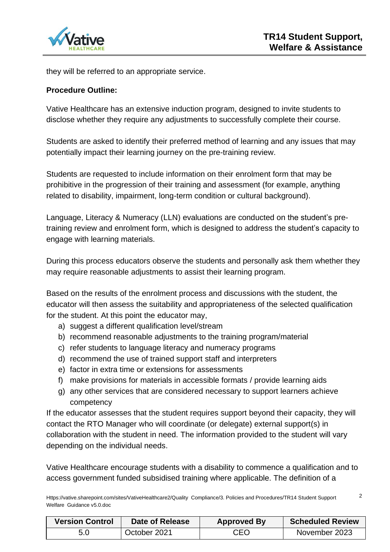

they will be referred to an appropriate service.

#### **Procedure Outline:**

Vative Healthcare has an extensive induction program, designed to invite students to disclose whether they require any adjustments to successfully complete their course.

Students are asked to identify their preferred method of learning and any issues that may potentially impact their learning journey on the pre-training review.

Students are requested to include information on their enrolment form that may be prohibitive in the progression of their training and assessment (for example, anything related to disability, impairment, long-term condition or cultural background).

Language, Literacy & Numeracy (LLN) evaluations are conducted on the student's pretraining review and enrolment form, which is designed to address the student's capacity to engage with learning materials.

During this process educators observe the students and personally ask them whether they may require reasonable adjustments to assist their learning program.

Based on the results of the enrolment process and discussions with the student, the educator will then assess the suitability and appropriateness of the selected qualification for the student. At this point the educator may,

- a) suggest a different qualification level/stream
- b) recommend reasonable adjustments to the training program/material
- c) refer students to language literacy and numeracy programs
- d) recommend the use of trained support staff and interpreters
- e) factor in extra time or extensions for assessments
- f) make provisions for materials in accessible formats / provide learning aids
- g) any other services that are considered necessary to support learners achieve competency

If the educator assesses that the student requires support beyond their capacity, they will contact the RTO Manager who will coordinate (or delegate) external support(s) in collaboration with the student in need. The information provided to the student will vary depending on the individual needs.

Vative Healthcare encourage students with a disability to commence a qualification and to access government funded subsidised training where applicable. The definition of a

Https://vative.sharepoint.com/sites/VativeHealthcare2/Quality Compliance/3. Policies and Procedures/TR14 Student Support Welfare Guidance v5.0.doc 2

| <b>Version Control</b> | Date of Release | <b>Approved By</b> | <b>Scheduled Review</b> |
|------------------------|-----------------|--------------------|-------------------------|
| 5.0                    | October 2021    | CEO                | November 2023           |